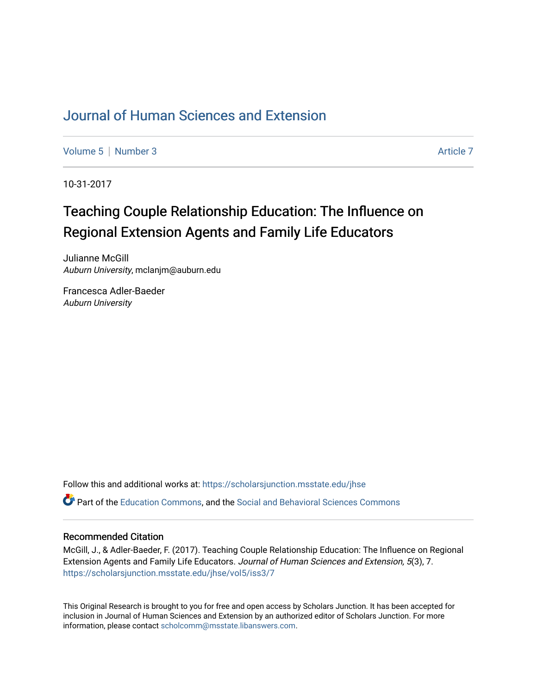# [Journal of Human Sciences and Extension](https://scholarsjunction.msstate.edu/jhse)

[Volume 5](https://scholarsjunction.msstate.edu/jhse/vol5) | [Number 3](https://scholarsjunction.msstate.edu/jhse/vol5/iss3) Article 7

10-31-2017

# Teaching Couple Relationship Education: The Influence on Regional Extension Agents and Family Life Educators

Julianne McGill Auburn University, mclanjm@auburn.edu

Francesca Adler-Baeder Auburn University

Follow this and additional works at: [https://scholarsjunction.msstate.edu/jhse](https://scholarsjunction.msstate.edu/jhse?utm_source=scholarsjunction.msstate.edu%2Fjhse%2Fvol5%2Fiss3%2F7&utm_medium=PDF&utm_campaign=PDFCoverPages)

Part of the [Education Commons](http://network.bepress.com/hgg/discipline/784?utm_source=scholarsjunction.msstate.edu%2Fjhse%2Fvol5%2Fiss3%2F7&utm_medium=PDF&utm_campaign=PDFCoverPages), and the [Social and Behavioral Sciences Commons](http://network.bepress.com/hgg/discipline/316?utm_source=scholarsjunction.msstate.edu%2Fjhse%2Fvol5%2Fiss3%2F7&utm_medium=PDF&utm_campaign=PDFCoverPages) 

### Recommended Citation

McGill, J., & Adler-Baeder, F. (2017). Teaching Couple Relationship Education: The Influence on Regional Extension Agents and Family Life Educators. Journal of Human Sciences and Extension, 5(3), 7. [https://scholarsjunction.msstate.edu/jhse/vol5/iss3/7](https://scholarsjunction.msstate.edu/jhse/vol5/iss3/7?utm_source=scholarsjunction.msstate.edu%2Fjhse%2Fvol5%2Fiss3%2F7&utm_medium=PDF&utm_campaign=PDFCoverPages)

This Original Research is brought to you for free and open access by Scholars Junction. It has been accepted for inclusion in Journal of Human Sciences and Extension by an authorized editor of Scholars Junction. For more information, please contact [scholcomm@msstate.libanswers.com](mailto:scholcomm@msstate.libanswers.com).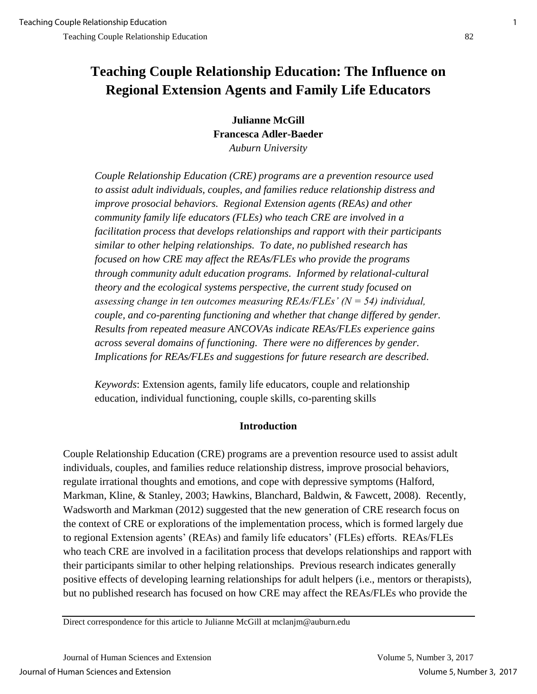# **Teaching Couple Relationship Education: The Influence on Regional Extension Agents and Family Life Educators**

**Julianne McGill Francesca Adler-Baeder** *Auburn University*

*Couple Relationship Education (CRE) programs are a prevention resource used to assist adult individuals, couples, and families reduce relationship distress and improve prosocial behaviors. Regional Extension agents (REAs) and other community family life educators (FLEs) who teach CRE are involved in a facilitation process that develops relationships and rapport with their participants similar to other helping relationships. To date, no published research has focused on how CRE may affect the REAs/FLEs who provide the programs through community adult education programs. Informed by relational-cultural theory and the ecological systems perspective, the current study focused on assessing change in ten outcomes measuring REAs/FLEs' (N = 54) individual, couple, and co-parenting functioning and whether that change differed by gender. Results from repeated measure ANCOVAs indicate REAs/FLEs experience gains across several domains of functioning. There were no differences by gender. Implications for REAs/FLEs and suggestions for future research are described.*

*Keywords*: Extension agents, family life educators, couple and relationship education, individual functioning, couple skills, co-parenting skills

# **Introduction**

Couple Relationship Education (CRE) programs are a prevention resource used to assist adult individuals, couples, and families reduce relationship distress, improve prosocial behaviors, regulate irrational thoughts and emotions, and cope with depressive symptoms (Halford, Markman, Kline, & Stanley, 2003; Hawkins, Blanchard, Baldwin, & Fawcett, 2008). Recently, Wadsworth and Markman (2012) suggested that the new generation of CRE research focus on the context of CRE or explorations of the implementation process, which is formed largely due to regional Extension agents' (REAs) and family life educators' (FLEs) efforts. REAs/FLEs who teach CRE are involved in a facilitation process that develops relationships and rapport with their participants similar to other helping relationships. Previous research indicates generally positive effects of developing learning relationships for adult helpers (i.e., mentors or therapists), but no published research has focused on how CRE may affect the REAs/FLEs who provide the

Direct correspondence for this article to Julianne McGill at mclanjm@auburn.edu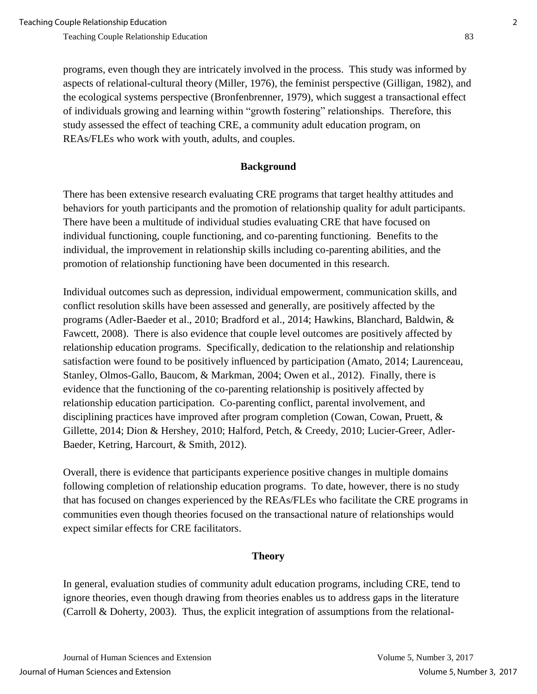programs, even though they are intricately involved in the process. This study was informed by aspects of relational-cultural theory (Miller, 1976), the feminist perspective (Gilligan, 1982), and the ecological systems perspective (Bronfenbrenner, 1979), which suggest a transactional effect of individuals growing and learning within "growth fostering" relationships. Therefore, this study assessed the effect of teaching CRE, a community adult education program, on REAs/FLEs who work with youth, adults, and couples.

## **Background**

There has been extensive research evaluating CRE programs that target healthy attitudes and behaviors for youth participants and the promotion of relationship quality for adult participants. There have been a multitude of individual studies evaluating CRE that have focused on individual functioning, couple functioning, and co-parenting functioning. Benefits to the individual, the improvement in relationship skills including co-parenting abilities, and the promotion of relationship functioning have been documented in this research.

Individual outcomes such as depression, individual empowerment, communication skills, and conflict resolution skills have been assessed and generally, are positively affected by the programs (Adler-Baeder et al., 2010; Bradford et al., 2014; Hawkins, Blanchard, Baldwin, & Fawcett, 2008). There is also evidence that couple level outcomes are positively affected by relationship education programs. Specifically, dedication to the relationship and relationship satisfaction were found to be positively influenced by participation (Amato, 2014; Laurenceau, Stanley, Olmos-Gallo, Baucom, & Markman, 2004; Owen et al., 2012). Finally, there is evidence that the functioning of the co-parenting relationship is positively affected by relationship education participation. Co-parenting conflict, parental involvement, and disciplining practices have improved after program completion (Cowan, Cowan, Pruett, & Gillette, 2014; Dion & Hershey, 2010; Halford, Petch, & Creedy, 2010; Lucier-Greer, Adler-Baeder, Ketring, Harcourt, & Smith, 2012).

Overall, there is evidence that participants experience positive changes in multiple domains following completion of relationship education programs. To date, however, there is no study that has focused on changes experienced by the REAs/FLEs who facilitate the CRE programs in communities even though theories focused on the transactional nature of relationships would expect similar effects for CRE facilitators.

### **Theory**

In general, evaluation studies of community adult education programs, including CRE, tend to ignore theories, even though drawing from theories enables us to address gaps in the literature (Carroll & Doherty, 2003). Thus, the explicit integration of assumptions from the relational-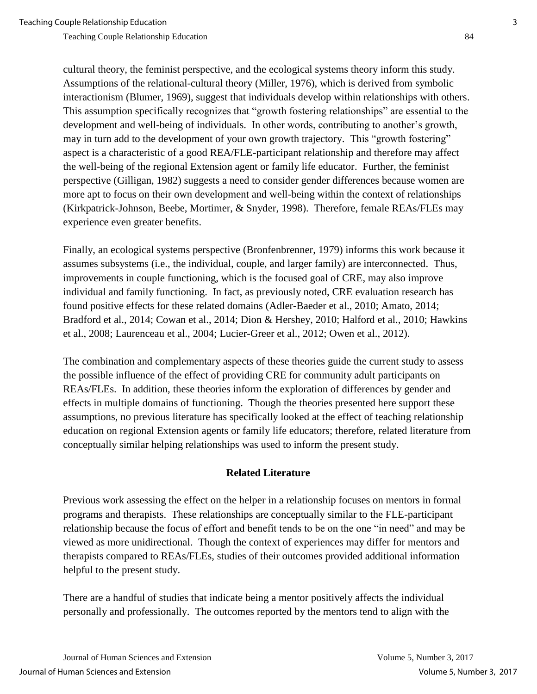cultural theory, the feminist perspective, and the ecological systems theory inform this study. Assumptions of the relational-cultural theory (Miller, 1976), which is derived from symbolic interactionism (Blumer, 1969), suggest that individuals develop within relationships with others. This assumption specifically recognizes that "growth fostering relationships" are essential to the development and well-being of individuals. In other words, contributing to another's growth, may in turn add to the development of your own growth trajectory. This "growth fostering" aspect is a characteristic of a good REA/FLE-participant relationship and therefore may affect the well-being of the regional Extension agent or family life educator. Further, the feminist perspective (Gilligan, 1982) suggests a need to consider gender differences because women are more apt to focus on their own development and well-being within the context of relationships (Kirkpatrick-Johnson, Beebe, Mortimer, & Snyder, 1998). Therefore, female REAs/FLEs may experience even greater benefits.

Finally, an ecological systems perspective (Bronfenbrenner, 1979) informs this work because it assumes subsystems (i.e., the individual, couple, and larger family) are interconnected. Thus, improvements in couple functioning, which is the focused goal of CRE, may also improve individual and family functioning. In fact, as previously noted, CRE evaluation research has found positive effects for these related domains (Adler-Baeder et al., 2010; Amato, 2014; Bradford et al., 2014; Cowan et al., 2014; Dion & Hershey, 2010; Halford et al., 2010; Hawkins et al., 2008; Laurenceau et al., 2004; Lucier-Greer et al., 2012; Owen et al., 2012).

The combination and complementary aspects of these theories guide the current study to assess the possible influence of the effect of providing CRE for community adult participants on REAs/FLEs. In addition, these theories inform the exploration of differences by gender and effects in multiple domains of functioning. Though the theories presented here support these assumptions, no previous literature has specifically looked at the effect of teaching relationship education on regional Extension agents or family life educators; therefore, related literature from conceptually similar helping relationships was used to inform the present study.

### **Related Literature**

Previous work assessing the effect on the helper in a relationship focuses on mentors in formal programs and therapists. These relationships are conceptually similar to the FLE-participant relationship because the focus of effort and benefit tends to be on the one "in need" and may be viewed as more unidirectional. Though the context of experiences may differ for mentors and therapists compared to REAs/FLEs, studies of their outcomes provided additional information helpful to the present study.

There are a handful of studies that indicate being a mentor positively affects the individual personally and professionally. The outcomes reported by the mentors tend to align with the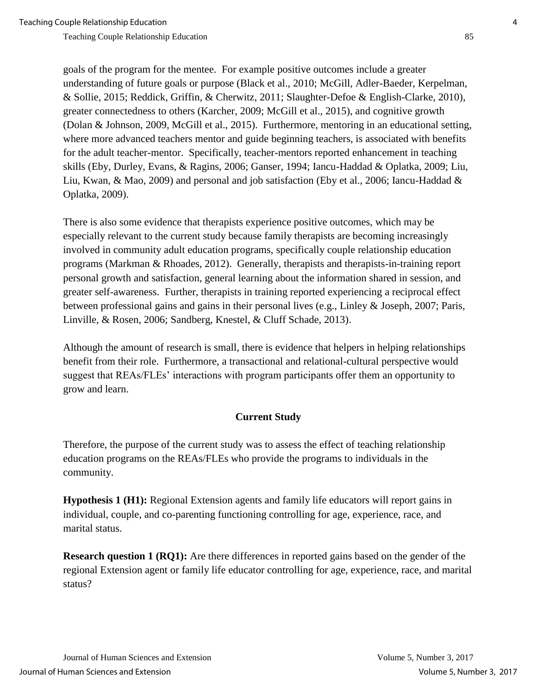goals of the program for the mentee. For example positive outcomes include a greater understanding of future goals or purpose (Black et al., 2010; McGill, Adler-Baeder, Kerpelman, & Sollie, 2015; Reddick, Griffin, & Cherwitz, 2011; Slaughter-Defoe & English-Clarke, 2010), greater connectedness to others (Karcher, 2009; McGill et al., 2015), and cognitive growth (Dolan & Johnson, 2009, McGill et al., 2015). Furthermore, mentoring in an educational setting, where more advanced teachers mentor and guide beginning teachers, is associated with benefits for the adult teacher-mentor. Specifically, teacher-mentors reported enhancement in teaching skills (Eby, Durley, Evans, & Ragins, 2006; Ganser, 1994; Iancu-Haddad & Oplatka, 2009; Liu, Liu, Kwan, & Mao, 2009) and personal and job satisfaction (Eby et al., 2006; Iancu-Haddad & Oplatka, 2009).

There is also some evidence that therapists experience positive outcomes, which may be especially relevant to the current study because family therapists are becoming increasingly involved in community adult education programs, specifically couple relationship education programs (Markman & Rhoades, 2012). Generally, therapists and therapists-in-training report personal growth and satisfaction, general learning about the information shared in session, and greater self-awareness. Further, therapists in training reported experiencing a reciprocal effect between professional gains and gains in their personal lives (e.g., Linley & Joseph, 2007; Paris, Linville, & Rosen, 2006; Sandberg, Knestel, & Cluff Schade, 2013).

Although the amount of research is small, there is evidence that helpers in helping relationships benefit from their role. Furthermore, a transactional and relational-cultural perspective would suggest that REAs/FLEs' interactions with program participants offer them an opportunity to grow and learn.

# **Current Study**

Therefore, the purpose of the current study was to assess the effect of teaching relationship education programs on the REAs/FLEs who provide the programs to individuals in the community.

**Hypothesis 1 (H1):** Regional Extension agents and family life educators will report gains in individual, couple, and co-parenting functioning controlling for age, experience, race, and marital status.

**Research question 1 (RQ1):** Are there differences in reported gains based on the gender of the regional Extension agent or family life educator controlling for age, experience, race, and marital status?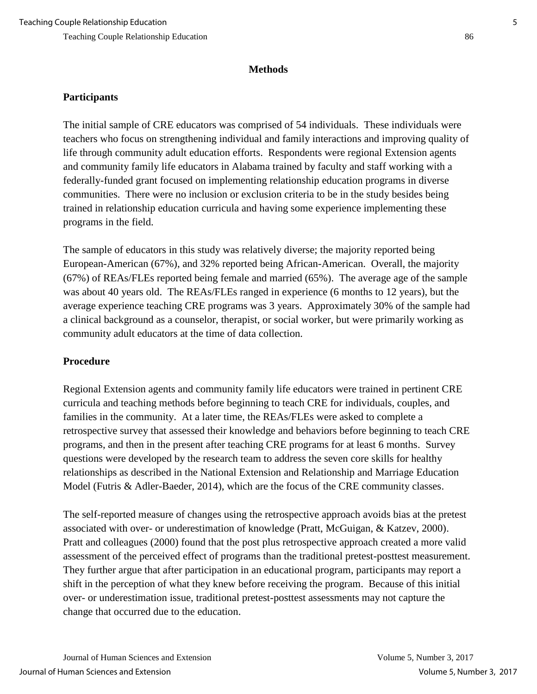#### **Methods**

#### **Participants**

The initial sample of CRE educators was comprised of 54 individuals. These individuals were teachers who focus on strengthening individual and family interactions and improving quality of life through community adult education efforts. Respondents were regional Extension agents and community family life educators in Alabama trained by faculty and staff working with a federally-funded grant focused on implementing relationship education programs in diverse communities. There were no inclusion or exclusion criteria to be in the study besides being trained in relationship education curricula and having some experience implementing these programs in the field.

The sample of educators in this study was relatively diverse; the majority reported being European-American (67%), and 32% reported being African-American. Overall, the majority (67%) of REAs/FLEs reported being female and married (65%). The average age of the sample was about 40 years old. The REAs/FLEs ranged in experience (6 months to 12 years), but the average experience teaching CRE programs was 3 years. Approximately 30% of the sample had a clinical background as a counselor, therapist, or social worker, but were primarily working as community adult educators at the time of data collection.

#### **Procedure**

Regional Extension agents and community family life educators were trained in pertinent CRE curricula and teaching methods before beginning to teach CRE for individuals, couples, and families in the community. At a later time, the REAs/FLEs were asked to complete a retrospective survey that assessed their knowledge and behaviors before beginning to teach CRE programs, and then in the present after teaching CRE programs for at least 6 months. Survey questions were developed by the research team to address the seven core skills for healthy relationships as described in the National Extension and Relationship and Marriage Education Model (Futris & Adler-Baeder, 2014), which are the focus of the CRE community classes.

The self-reported measure of changes using the retrospective approach avoids bias at the pretest associated with over- or underestimation of knowledge (Pratt, McGuigan, & Katzev, 2000). Pratt and colleagues (2000) found that the post plus retrospective approach created a more valid assessment of the perceived effect of programs than the traditional pretest-posttest measurement. They further argue that after participation in an educational program, participants may report a shift in the perception of what they knew before receiving the program. Because of this initial over- or underestimation issue, traditional pretest-posttest assessments may not capture the change that occurred due to the education.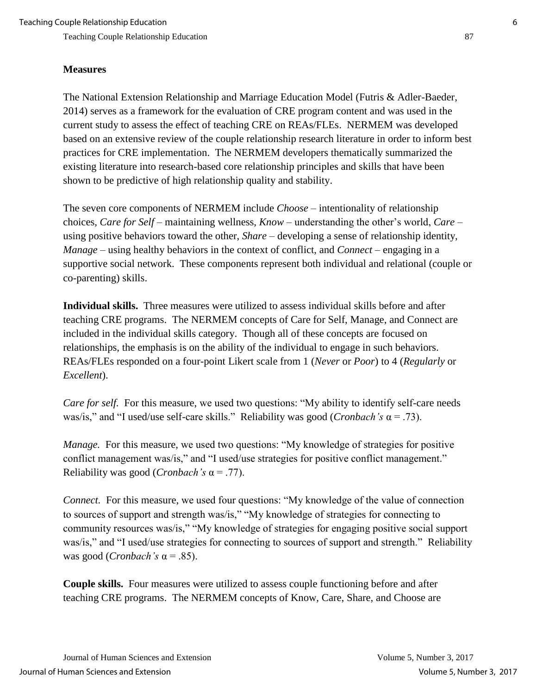Teaching Couple Relationship Education 87

#### **Measures**

The National Extension Relationship and Marriage Education Model (Futris & Adler-Baeder, 2014) serves as a framework for the evaluation of CRE program content and was used in the current study to assess the effect of teaching CRE on REAs/FLEs. NERMEM was developed based on an extensive review of the couple relationship research literature in order to inform best practices for CRE implementation. The NERMEM developers thematically summarized the existing literature into research-based core relationship principles and skills that have been shown to be predictive of high relationship quality and stability.

The seven core components of NERMEM include *Choose* – intentionality of relationship choices, *Care for Self* – maintaining wellness, *Know* – understanding the other's world, *Care* – using positive behaviors toward the other, *Share* – developing a sense of relationship identity, *Manage –* using healthy behaviors in the context of conflict, and *Connect –* engaging in a supportive social network. These components represent both individual and relational (couple or co-parenting) skills.

**Individual skills.** Three measures were utilized to assess individual skills before and after teaching CRE programs. The NERMEM concepts of Care for Self, Manage, and Connect are included in the individual skills category. Though all of these concepts are focused on relationships, the emphasis is on the ability of the individual to engage in such behaviors. REAs/FLEs responded on a four-point Likert scale from 1 (*Never* or *Poor*) to 4 (*Regularly* or *Excellent*).

*Care for self.* For this measure, we used two questions: "My ability to identify self-care needs was/is," and "I used/use self-care skills." Reliability was good (*Cronbach's* α = .73).

*Manage.* For this measure, we used two questions: "My knowledge of strategies for positive conflict management was/is," and "I used/use strategies for positive conflict management." Reliability was good (*Cronbach's*  $\alpha$  = .77).

*Connect.* For this measure, we used four questions: "My knowledge of the value of connection to sources of support and strength was/is," "My knowledge of strategies for connecting to community resources was/is," "My knowledge of strategies for engaging positive social support was/is," and "I used/use strategies for connecting to sources of support and strength." Reliability was good (*Cronbach's* α = .85).

**Couple skills.** Four measures were utilized to assess couple functioning before and after teaching CRE programs. The NERMEM concepts of Know, Care, Share, and Choose are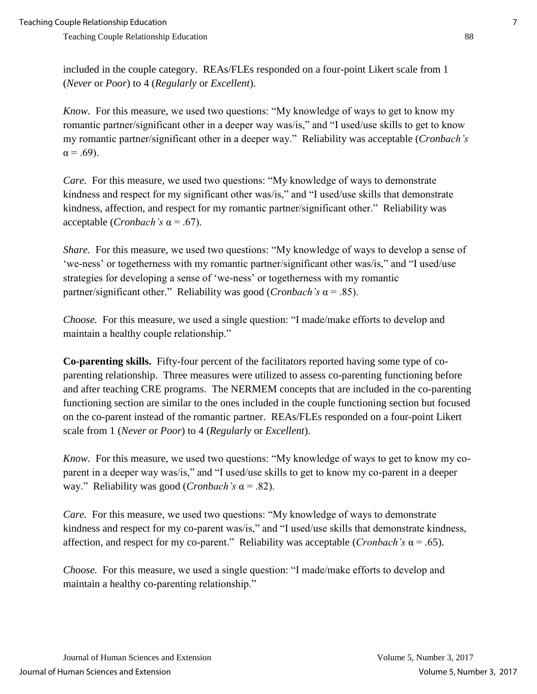included in the couple category. REAs/FLEs responded on a four-point Likert scale from 1 (*Never* or *Poor*) to 4 (*Regularly* or *Excellent*).

*Know.* For this measure, we used two questions: "My knowledge of ways to get to know my romantic partner/significant other in a deeper way was/is," and "I used/use skills to get to know my romantic partner/significant other in a deeper way." Reliability was acceptable (*Cronbach's*   $\alpha = .69$ ).

*Care.* For this measure, we used two questions: "My knowledge of ways to demonstrate kindness and respect for my significant other was/is," and "I used/use skills that demonstrate kindness, affection, and respect for my romantic partner/significant other." Reliability was acceptable (*Cronbach's* α = .67).

*Share.* For this measure, we used two questions: "My knowledge of ways to develop a sense of 'we-ness' or togetherness with my romantic partner/significant other was/is," and "I used/use strategies for developing a sense of 'we-ness' or togetherness with my romantic partner/significant other." Reliability was good (*Cronbach's* α = .85).

*Choose.* For this measure, we used a single question: "I made/make efforts to develop and maintain a healthy couple relationship."

**Co-parenting skills.** Fifty-four percent of the facilitators reported having some type of coparenting relationship. Three measures were utilized to assess co-parenting functioning before and after teaching CRE programs. The NERMEM concepts that are included in the co-parenting functioning section are similar to the ones included in the couple functioning section but focused on the co-parent instead of the romantic partner. REAs/FLEs responded on a four-point Likert scale from 1 (*Never* or *Poor*) to 4 (*Regularly* or *Excellent*).

*Know.* For this measure, we used two questions: "My knowledge of ways to get to know my coparent in a deeper way was/is," and "I used/use skills to get to know my co-parent in a deeper way." Reliability was good (*Cronbach's* α = .82).

*Care.* For this measure, we used two questions: "My knowledge of ways to demonstrate kindness and respect for my co-parent was/is," and "I used/use skills that demonstrate kindness, affection, and respect for my co-parent." Reliability was acceptable (*Cronbach's*  $\alpha$  = .65).

*Choose.* For this measure, we used a single question: "I made/make efforts to develop and maintain a healthy co-parenting relationship."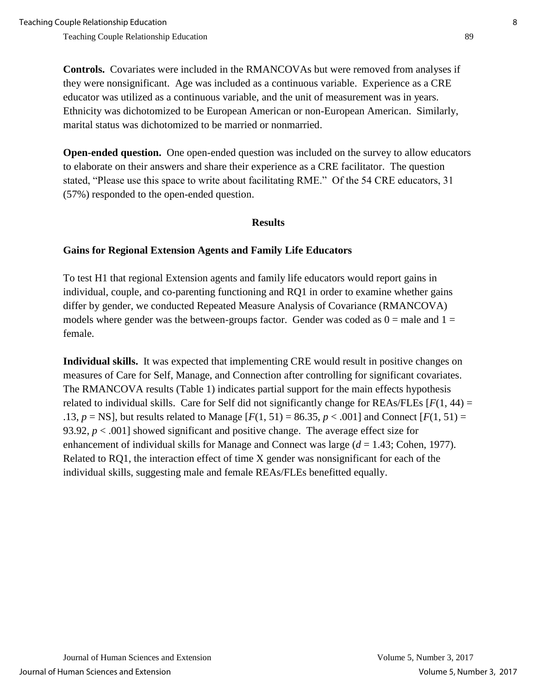**Controls.** Covariates were included in the RMANCOVAs but were removed from analyses if they were nonsignificant. Age was included as a continuous variable. Experience as a CRE educator was utilized as a continuous variable, and the unit of measurement was in years. Ethnicity was dichotomized to be European American or non-European American. Similarly, marital status was dichotomized to be married or nonmarried.

**Open-ended question.** One open-ended question was included on the survey to allow educators to elaborate on their answers and share their experience as a CRE facilitator. The question stated, "Please use this space to write about facilitating RME." Of the 54 CRE educators, 31 (57%) responded to the open-ended question.

#### **Results**

## **Gains for Regional Extension Agents and Family Life Educators**

To test H1 that regional Extension agents and family life educators would report gains in individual, couple, and co-parenting functioning and RQ1 in order to examine whether gains differ by gender, we conducted Repeated Measure Analysis of Covariance (RMANCOVA) models where gender was the between-groups factor. Gender was coded as  $0 =$  male and  $1 =$ female.

**Individual skills.** It was expected that implementing CRE would result in positive changes on measures of Care for Self, Manage, and Connection after controlling for significant covariates. The RMANCOVA results (Table 1) indicates partial support for the main effects hypothesis related to individual skills. Care for Self did not significantly change for REAs/FLEs  $[F(1, 44) =$ .13,  $p = NS$ ], but results related to Manage  $[F(1, 51) = 86.35, p < .001]$  and Connect  $[F(1, 51) =$ 93.92, *p* < .001] showed significant and positive change. The average effect size for enhancement of individual skills for Manage and Connect was large (*d* = 1.43; Cohen, 1977). Related to RQ1, the interaction effect of time X gender was nonsignificant for each of the individual skills, suggesting male and female REAs/FLEs benefitted equally.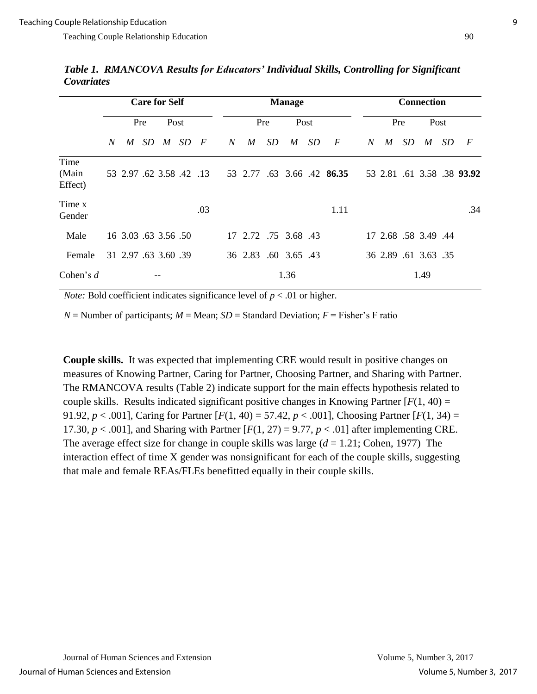|                          | <b>Care for Self</b> |                      |  |           |  |                  |                  | <b>Manage</b>        |    |                  |     |                                                     |                |             | <b>Connection</b> |                      |    |                            |  |  |
|--------------------------|----------------------|----------------------|--|-----------|--|------------------|------------------|----------------------|----|------------------|-----|-----------------------------------------------------|----------------|-------------|-------------------|----------------------|----|----------------------------|--|--|
|                          | Post<br>Pre          |                      |  |           |  |                  |                  | Post<br>Pre          |    |                  |     |                                                     |                | Post<br>Pre |                   |                      |    |                            |  |  |
|                          | N                    |                      |  | M SD M SD |  | $\boldsymbol{F}$ | $\boldsymbol{N}$ | M                    | SD | $\boldsymbol{M}$ | SD. | $\boldsymbol{F}$                                    | $\overline{N}$ | M           | SD                | M                    | SD | $\overline{F}$             |  |  |
| Time<br>(Main<br>Effect) |                      |                      |  |           |  |                  |                  |                      |    |                  |     | 53 2.97 .62 3.58 .42 .13 53 2.77 .63 3.66 .42 86.35 |                |             |                   |                      |    | 53 2.81 .61 3.58 .38 93.92 |  |  |
| Time x<br>Gender         |                      |                      |  |           |  | .03              |                  |                      |    |                  |     | 1.11                                                |                |             |                   |                      |    | .34                        |  |  |
| Male                     |                      | 16 3.03 .63 3.56 .50 |  |           |  |                  |                  | 17 2.72 .75 3.68 .43 |    |                  |     |                                                     |                |             |                   | 17 2.68 .58 3.49 .44 |    |                            |  |  |
| Female                   |                      | 31 2.97 .63 3.60 .39 |  |           |  |                  |                  | 36 2.83              |    | .60 3.65 .43     |     |                                                     |                |             |                   | 36 2.89 .61 3.63 .35 |    |                            |  |  |
| Cohen's $d$              |                      |                      |  |           |  |                  |                  |                      |    | 1.36             |     |                                                     |                |             |                   | 1.49                 |    |                            |  |  |

*Table 1. RMANCOVA Results for Educators' Individual Skills, Controlling for Significant Covariates*

*Note:* Bold coefficient indicates significance level of  $p < .01$  or higher.

 $N =$  Number of participants;  $M =$  Mean;  $SD =$  Standard Deviation;  $F =$  Fisher's F ratio

**Couple skills.** It was expected that implementing CRE would result in positive changes on measures of Knowing Partner, Caring for Partner, Choosing Partner, and Sharing with Partner. The RMANCOVA results (Table 2) indicate support for the main effects hypothesis related to couple skills. Results indicated significant positive changes in Knowing Partner  $[F(1, 40) =$ 91.92,  $p < .001$ ], Caring for Partner  $[F(1, 40) = 57.42, p < .001]$ , Choosing Partner  $[F(1, 34) =$ 17.30,  $p < .001$ ], and Sharing with Partner  $[F(1, 27) = 9.77, p < .01]$  after implementing CRE. The average effect size for change in couple skills was large (*d* = 1.21; Cohen, 1977) The interaction effect of time X gender was nonsignificant for each of the couple skills, suggesting that male and female REAs/FLEs benefitted equally in their couple skills.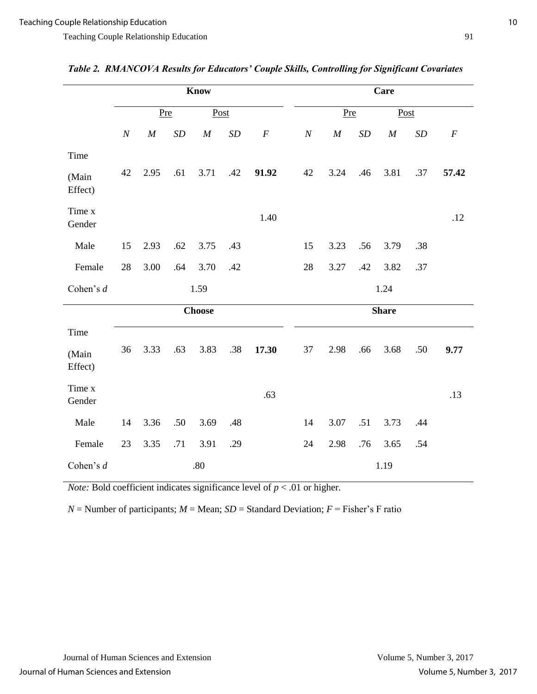|                  |          |      |     | <b>Know</b>   |     |          |          | <b>Care</b>  |     |          |     |          |  |  |  |  |
|------------------|----------|------|-----|---------------|-----|----------|----------|--------------|-----|----------|-----|----------|--|--|--|--|
|                  |          | Pre  |     | Post          |     |          |          | Pre          |     | Post     |     |          |  |  |  |  |
|                  | $\cal N$ | M    | SD  | M             | SD  | $\cal F$ | $\cal N$ | M            | SD  | $\cal M$ | SD  | $\cal F$ |  |  |  |  |
| Time             |          |      |     |               |     |          |          |              |     |          |     |          |  |  |  |  |
| (Main<br>Effect) | 42       | 2.95 | .61 | 3.71          | .42 | 91.92    | 42       | 3.24         | .46 | 3.81     | .37 | 57.42    |  |  |  |  |
| Time x<br>Gender |          |      |     |               |     | 1.40     |          |              |     |          |     | .12      |  |  |  |  |
| Male             | 15       | 2.93 | .62 | 3.75          | .43 |          | 15       | 3.23         | .56 | 3.79     | .38 |          |  |  |  |  |
| Female           | 28       | 3.00 | .64 | 3.70          | .42 |          | 28       | 3.27         | .42 | 3.82     | .37 |          |  |  |  |  |
| Cohen's $d$      |          |      |     | 1.59          |     |          | 1.24     |              |     |          |     |          |  |  |  |  |
|                  |          |      |     | <b>Choose</b> |     |          |          | <b>Share</b> |     |          |     |          |  |  |  |  |
| Time             |          |      |     |               |     |          |          |              |     |          |     |          |  |  |  |  |
| (Main<br>Effect) | 36       | 3.33 | .63 | 3.83          | .38 | 17.30    | 37       | 2.98         | .66 | 3.68     | .50 | 9.77     |  |  |  |  |
| Time x<br>Gender |          |      |     |               |     | .63      |          |              |     |          |     | .13      |  |  |  |  |
| Male             | 14       | 3.36 | .50 | 3.69          | .48 |          | 14       | 3.07         | .51 | 3.73     | .44 |          |  |  |  |  |
| Female           | 23       | 3.35 | .71 | 3.91          | .29 |          | 24       | 2.98         | .76 | 3.65     | .54 |          |  |  |  |  |
| Cohen's $d$      |          |      |     | $.80\,$       |     |          |          |              |     | 1.19     |     |          |  |  |  |  |

| Table 2. RMANCOVA Results for Educators' Couple Skills, Controlling for Significant Covariates |  |  |  |  |
|------------------------------------------------------------------------------------------------|--|--|--|--|

*Note:* Bold coefficient indicates significance level of  $p < .01$  or higher.

 $N =$  Number of participants;  $M =$  Mean;  $SD =$  Standard Deviation;  $F =$  Fisher's F ratio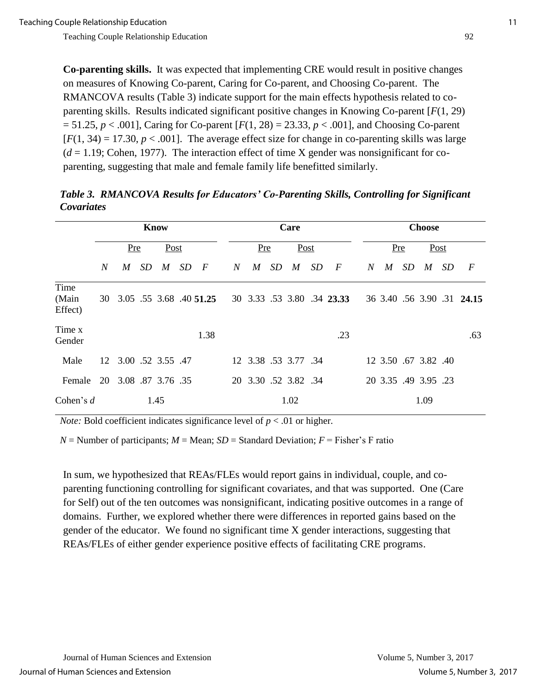Teaching Couple Relationship Education 6. The contract of the contract of the contract of the contract of the contract of the contract of the contract of the contract of the contract of the contract of the contract of the

**Co-parenting skills.** It was expected that implementing CRE would result in positive changes on measures of Knowing Co-parent, Caring for Co-parent, and Choosing Co-parent. The RMANCOVA results (Table 3) indicate support for the main effects hypothesis related to coparenting skills. Results indicated significant positive changes in Knowing Co-parent [*F*(1, 29) = 51.25, *p* < .001], Caring for Co-parent [*F*(1, 28) = 23.33, *p* < .001], and Choosing Co-parent  $[F(1, 34) = 17.30, p < .001]$ . The average effect size for change in co-parenting skills was large  $(d = 1.19; \text{Cohen}, 1977)$ . The interaction effect of time X gender was nonsignificant for coparenting, suggesting that male and female family life benefitted similarly.

|                          | <b>Know</b> |                      |    |                  |    |                            |                  | Care                 |    |      |      |                            |   |                  | <b>Choose</b> |                      |           |                            |  |  |
|--------------------------|-------------|----------------------|----|------------------|----|----------------------------|------------------|----------------------|----|------|------|----------------------------|---|------------------|---------------|----------------------|-----------|----------------------------|--|--|
|                          | Pre         |                      |    | Post             |    |                            |                  | Pre                  |    |      | Post |                            |   |                  | Post<br>Pre   |                      |           |                            |  |  |
|                          | N           | M                    | SD | $\boldsymbol{M}$ | SD | $\top$                     | $\boldsymbol{N}$ | M                    | SD | M    | SD   | $\boldsymbol{F}$           | N | $\boldsymbol{M}$ | SD            | $\boldsymbol{M}$     | <i>SD</i> | $\boldsymbol{F}$           |  |  |
| Time<br>(Main<br>Effect) |             |                      |    |                  |    | 30 3.05 .55 3.68 .40 51.25 |                  |                      |    |      |      | 30 3.33 .53 3.80 .34 23.33 |   |                  |               |                      |           | 36 3.40 .56 3.90 .31 24.15 |  |  |
| Time x<br>Gender         |             |                      |    |                  |    | 1.38                       |                  |                      |    |      |      | .23                        |   |                  |               |                      |           | .63                        |  |  |
| Male                     |             | 12 3.00 .52 3.55 .47 |    |                  |    |                            |                  | 12 3.38 .53 3.77 .34 |    |      |      |                            |   |                  |               | 12 3.50 .67 3.82 .40 |           |                            |  |  |
| Female                   |             | 20 3.08 .87 3.76 .35 |    |                  |    |                            |                  | 20 3.30 .52 3.82 .34 |    |      |      |                            |   |                  |               | 20 3.35 .49 3.95 .23 |           |                            |  |  |
| Cohen's $d$              |             |                      |    | 1.45             |    |                            |                  |                      |    | 1.02 |      |                            |   |                  |               | 1.09                 |           |                            |  |  |

*Table 3. RMANCOVA Results for Educators' Co-Parenting Skills, Controlling for Significant Covariates*

*Note:* Bold coefficient indicates significance level of  $p < .01$  or higher.

 $N =$  Number of participants;  $M =$  Mean;  $SD =$  Standard Deviation;  $F =$  Fisher's F ratio

In sum, we hypothesized that REAs/FLEs would report gains in individual, couple, and coparenting functioning controlling for significant covariates, and that was supported. One (Care for Self) out of the ten outcomes was nonsignificant, indicating positive outcomes in a range of domains. Further, we explored whether there were differences in reported gains based on the gender of the educator. We found no significant time X gender interactions, suggesting that REAs/FLEs of either gender experience positive effects of facilitating CRE programs.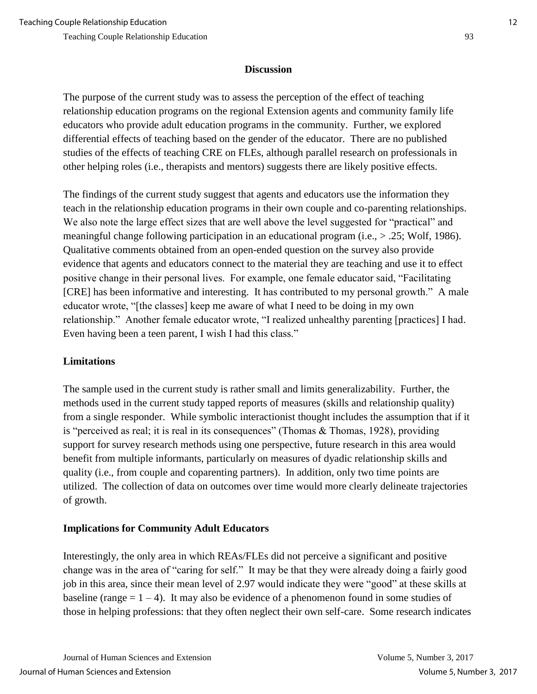## **Discussion**

The purpose of the current study was to assess the perception of the effect of teaching relationship education programs on the regional Extension agents and community family life educators who provide adult education programs in the community. Further, we explored differential effects of teaching based on the gender of the educator. There are no published studies of the effects of teaching CRE on FLEs, although parallel research on professionals in other helping roles (i.e., therapists and mentors) suggests there are likely positive effects.

The findings of the current study suggest that agents and educators use the information they teach in the relationship education programs in their own couple and co-parenting relationships. We also note the large effect sizes that are well above the level suggested for "practical" and meaningful change following participation in an educational program (i.e., > .25; Wolf, 1986). Qualitative comments obtained from an open-ended question on the survey also provide evidence that agents and educators connect to the material they are teaching and use it to effect positive change in their personal lives. For example, one female educator said, "Facilitating [CRE] has been informative and interesting. It has contributed to my personal growth." A male educator wrote, "[the classes] keep me aware of what I need to be doing in my own relationship." Another female educator wrote, "I realized unhealthy parenting [practices] I had. Even having been a teen parent, I wish I had this class."

# **Limitations**

The sample used in the current study is rather small and limits generalizability. Further, the methods used in the current study tapped reports of measures (skills and relationship quality) from a single responder. While symbolic interactionist thought includes the assumption that if it is "perceived as real; it is real in its consequences" (Thomas & Thomas, 1928), providing support for survey research methods using one perspective, future research in this area would benefit from multiple informants, particularly on measures of dyadic relationship skills and quality (i.e., from couple and coparenting partners). In addition, only two time points are utilized. The collection of data on outcomes over time would more clearly delineate trajectories of growth.

# **Implications for Community Adult Educators**

Interestingly, the only area in which REAs/FLEs did not perceive a significant and positive change was in the area of "caring for self." It may be that they were already doing a fairly good job in this area, since their mean level of 2.97 would indicate they were "good" at these skills at baseline (range  $= 1 - 4$ ). It may also be evidence of a phenomenon found in some studies of those in helping professions: that they often neglect their own self-care. Some research indicates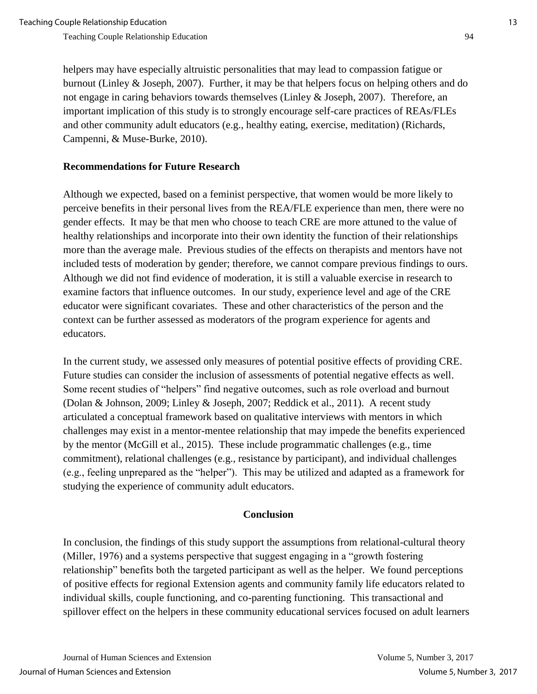helpers may have especially altruistic personalities that may lead to compassion fatigue or burnout (Linley & Joseph, 2007). Further, it may be that helpers focus on helping others and do not engage in caring behaviors towards themselves (Linley & Joseph, 2007). Therefore, an important implication of this study is to strongly encourage self-care practices of REAs/FLEs and other community adult educators (e.g., healthy eating, exercise, meditation) (Richards, Campenni, & Muse-Burke, 2010).

# **Recommendations for Future Research**

Although we expected, based on a feminist perspective, that women would be more likely to perceive benefits in their personal lives from the REA/FLE experience than men, there were no gender effects. It may be that men who choose to teach CRE are more attuned to the value of healthy relationships and incorporate into their own identity the function of their relationships more than the average male. Previous studies of the effects on therapists and mentors have not included tests of moderation by gender; therefore, we cannot compare previous findings to ours. Although we did not find evidence of moderation, it is still a valuable exercise in research to examine factors that influence outcomes. In our study, experience level and age of the CRE educator were significant covariates. These and other characteristics of the person and the context can be further assessed as moderators of the program experience for agents and educators.

In the current study, we assessed only measures of potential positive effects of providing CRE. Future studies can consider the inclusion of assessments of potential negative effects as well. Some recent studies of "helpers" find negative outcomes, such as role overload and burnout (Dolan & Johnson, 2009; Linley & Joseph, 2007; Reddick et al., 2011). A recent study articulated a conceptual framework based on qualitative interviews with mentors in which challenges may exist in a mentor-mentee relationship that may impede the benefits experienced by the mentor (McGill et al., 2015). These include programmatic challenges (e.g., time commitment), relational challenges (e.g., resistance by participant), and individual challenges (e.g., feeling unprepared as the "helper"). This may be utilized and adapted as a framework for studying the experience of community adult educators.

# **Conclusion**

In conclusion, the findings of this study support the assumptions from relational-cultural theory (Miller, 1976) and a systems perspective that suggest engaging in a "growth fostering relationship" benefits both the targeted participant as well as the helper. We found perceptions of positive effects for regional Extension agents and community family life educators related to individual skills, couple functioning, and co-parenting functioning. This transactional and spillover effect on the helpers in these community educational services focused on adult learners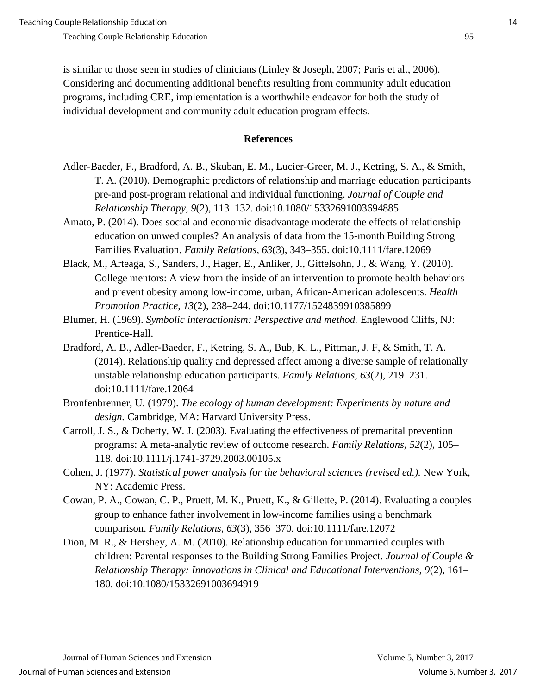is similar to those seen in studies of clinicians (Linley & Joseph, 2007; Paris et al., 2006). Considering and documenting additional benefits resulting from community adult education programs, including CRE, implementation is a worthwhile endeavor for both the study of individual development and community adult education program effects.

#### **References**

- Adler-Baeder, F., Bradford, A. B., Skuban, E. M., Lucier-Greer, M. J., Ketring, S. A., & Smith, T. A. (2010). Demographic predictors of relationship and marriage education participants pre-and post-program relational and individual functioning. *Journal of Couple and Relationship Therapy, 9*(2), 113–132. doi:10.1080/15332691003694885
- Amato, P. (2014). Does social and economic disadvantage moderate the effects of relationship education on unwed couples? An analysis of data from the 15-month Building Strong Families Evaluation. *Family Relations, 63*(3), 343–355. doi:10.1111/fare.12069
- Black, M., Arteaga, S., Sanders, J., Hager, E., Anliker, J., Gittelsohn, J., & Wang, Y. (2010). College mentors: A view from the inside of an intervention to promote health behaviors and prevent obesity among low-income, urban, African-American adolescents. *Health Promotion Practice, 13*(2), 238–244. doi[:10.1177/1524839910385899](http://dx.doi.org/10.1177/1524839910385899)
- Blumer, H. (1969). *Symbolic interactionism: Perspective and method.* Englewood Cliffs, NJ: Prentice-Hall.
- Bradford, A. B., Adler-Baeder, F., Ketring, S. A., Bub, K. L., Pittman, J. F, & Smith, T. A. (2014). Relationship quality and depressed affect among a diverse sample of relationally unstable relationship education participants. *Family Relations*, *63*(2), 219–231. doi[:10.1111/fare.12064](http://dx.doi.org/10.1111/fare.12064)
- Bronfenbrenner, U. (1979). *The ecology of human development: Experiments by nature and design.* Cambridge, MA: Harvard University Press.
- Carroll, J. S., & Doherty, W. J. (2003). Evaluating the effectiveness of premarital prevention programs: A meta-analytic review of outcome research. *Family Relations, 52*(2), 105– 118. doi[:10.1111/j.1741-3729.2003.00105.x](http://dx.doi.org/10.1111/j.1741-3729.2003.00105.x)
- Cohen, J. (1977). *Statistical power analysis for the behavioral sciences (revised ed.).* New York, NY: Academic Press.
- Cowan, P. A., Cowan, C. P., Pruett, M. K., Pruett, K., & Gillette, P. (2014). Evaluating a couples group to enhance father involvement in low-income families using a benchmark comparison. *Family Relations, 63*(3), 356–370. doi[:10.1111/fare.12072](http://dx.doi.org/10.1111/fare.12072)
- Dion, M. R., & Hershey, A. M. (2010). Relationship education for unmarried couples with children: Parental responses to the Building Strong Families Project. *Journal of Couple & Relationship Therapy: Innovations in Clinical and Educational Interventions, 9*(2), 161– 180. doi:10.1080/15332691003694919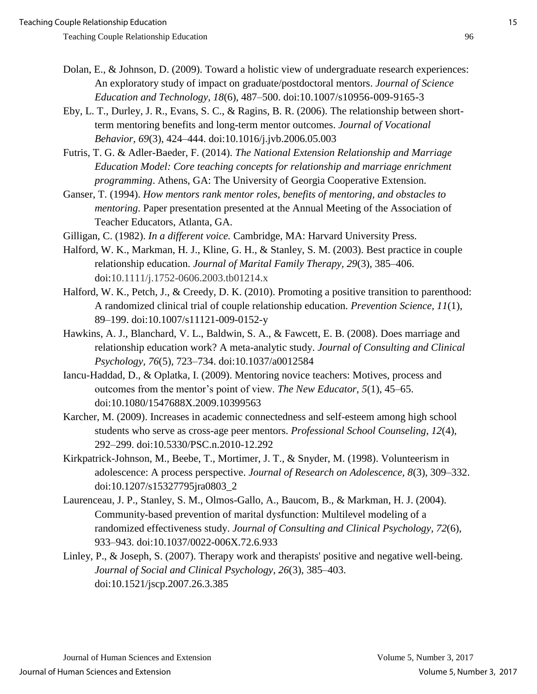- Dolan, E., & Johnson, D. (2009). Toward a holistic view of undergraduate research experiences: An exploratory study of impact on graduate/postdoctoral mentors. *Journal of Science Education and Technology, 18*(6), 487–500. doi:10.1007/s10956-009-9165-3
- Eby, L. T., Durley, J. R., Evans, S. C., & Ragins, B. R. (2006). The relationship between shortterm mentoring benefits and long-term mentor outcomes. *Journal of Vocational Behavior, 69*(3), 424–444. doi[:10.1016/j.jvb.2006.05.003](http://dx.doi.org/10.1016/j.jvb.2006.05.003)
- Futris, T. G. & Adler-Baeder, F. (2014). *The National Extension Relationship and Marriage Education Model: Core teaching concepts for relationship and marriage enrichment programming*. Athens, GA: The University of Georgia Cooperative Extension.
- Ganser, T. (1994). *How mentors rank mentor roles, benefits of mentoring, and obstacles to mentoring*. Paper presentation presented at the Annual Meeting of the Association of Teacher Educators, Atlanta, GA.
- Gilligan, C. (1982). *In a different voice.* Cambridge, MA: Harvard University Press.
- Halford, W. K., Markman, H. J., Kline, G. H., & Stanley, S. M. (2003). Best practice in couple relationship education. *Journal of Marital Family Therapy, 29*(3), 385–406. doi:10.1111/j.1752-0606.2003.tb01214.x
- Halford, W. K., Petch, J., & Creedy, D. K. (2010). Promoting a positive transition to parenthood: A randomized clinical trial of couple relationship education. *Prevention Science, 11*(1), 89–199. doi[:10.1007/s11121-009-0152-y](http://dx.doi.org/10.1007/s11121-009-0152-y)
- Hawkins, A. J., Blanchard, V. L., Baldwin, S. A., & Fawcett, E. B. (2008). Does marriage and relationship education work? A meta-analytic study. *Journal of Consulting and Clinical Psychology, 76*(5)*,* 723–734. doi:10.1037/a0012584
- Iancu-Haddad, D., & Oplatka, I. (2009). Mentoring novice teachers: Motives, process and outcomes from the mentor's point of view. *The New Educator, 5*(1), 45–65. doi[:10.1080/1547688X.2009.10399563](http://dx.doi.org/10.1080/1547688X.2009.10399563)
- Karcher, M. (2009). Increases in academic connectedness and self-esteem among high school students who serve as cross-age peer mentors. *Professional School Counseling, 12*(4), 292–299. doi[:10.5330/PSC.n.2010-12.292](http://dx.doi.org/10.5330/PSC.n.2010-12.292)
- Kirkpatrick-Johnson, M., Beebe, T., Mortimer, J. T., & Snyder, M. (1998). Volunteerism in adolescence: A process perspective. *Journal of Research on Adolescence, 8*(3), 309–332. doi[:10.1207/s15327795jra0803\\_2](http://dx.doi.org/10.1207/s15327795jra0803_2)
- Laurenceau, J. P., Stanley, S. M., Olmos-Gallo, A., Baucom, B., & Markman, H. J. (2004). Community-based prevention of marital dysfunction: Multilevel modeling of a randomized effectiveness study. *Journal of Consulting and Clinical Psychology, 72*(6), 933–943. doi[:10.1037/0022-006X.72.6.933](http://dx.doi.org/10.1037/0022-006X.72.6.933)
- Linley, P., & Joseph, S. (2007). Therapy work and therapists' positive and negative well-being. *Journal of Social and Clinical Psychology, 26*(3), 385–403. doi[:10.1521/jscp.2007.26.3.385](http://dx.doi.org/10.1521/jscp.2007.26.3.385)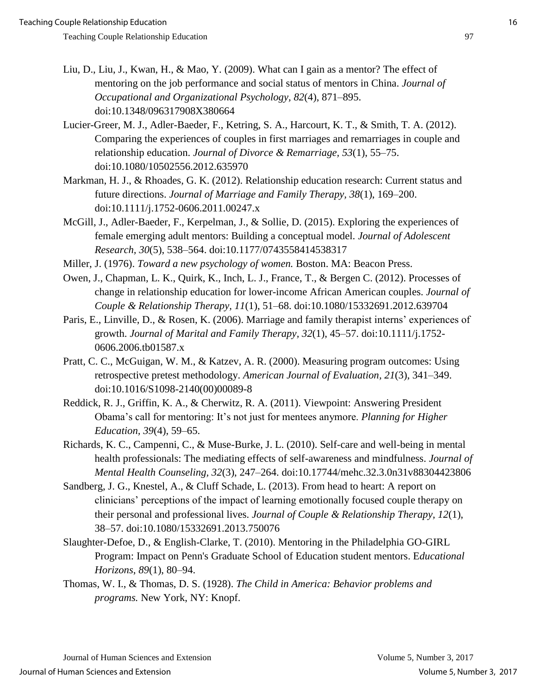Teaching Couple Relationship Education 600 and 100 and 100 and 100 and 100 and 100 and 100 and 100 and 100 and 100 and 100 and 100 and 100 and 100 and 100 and 100 and 100 and 100 and 100 and 100 and 100 and 100 and 100 and

- Liu, D., Liu, J., Kwan, H., & Mao, Y. (2009). What can I gain as a mentor? The effect of mentoring on the job performance and social status of mentors in China. *Journal of Occupational and Organizational Psychology, 82*(4), 871–895. doi[:10.1348/096317908X380664](http://dx.doi.org/10.1348/096317908X380664)
- Lucier-Greer, M. J., Adler-Baeder, F., Ketring, S. A., Harcourt, K. T., & Smith, T. A. (2012). Comparing the experiences of couples in first marriages and remarriages in couple and relationship education. *Journal of Divorce & Remarriage, 53*(1), 55–75. doi[:10.1080/10502556.2012.635970](http://dx.doi.org/10.1080/10502556.2012.635970)
- Markman, H. J., & Rhoades, G. K. (2012). Relationship education research: Current status and future directions. *Journal of Marriage and Family Therapy, 38*(1), 169–200. doi[:10.1111/j.1752-0606.2011.00247.x](http://dx.doi.org/10.1111/j.1752-0606.2011.00247.x)
- McGill, J., Adler-Baeder, F., Kerpelman, J., & Sollie, D. (2015). Exploring the experiences of female emerging adult mentors: Building a conceptual model. *Journal of Adolescent Research, 30*(5), 538–564. doi[:10.1177/0743558414538317](http://dx.doi.org/10.1177/0743558414538317)
- Miller, J. (1976). *Toward a new psychology of women.* Boston. MA: Beacon Press.
- Owen, J., Chapman, L. K., Quirk, K., Inch, L. J., France, T., & Bergen C. (2012). Processes of change in relationship education for lower-income African American couples. *Journal of Couple & Relationship Therapy, 11*(1), 51–68. doi[:10.1080/15332691.2012.639704](http://dx.doi.org/10.1080/15332691.2012.639704)
- Paris, E., Linville, D., & Rosen, K. (2006). Marriage and family therapist interns' experiences of growth. *Journal of Marital and Family Therapy, 32*(1), 45–57. doi[:10.1111/j.1752-](http://dx.doi.org/10.1111/j.1752-0606.2006.tb01587.x) [0606.2006.tb01587.x](http://dx.doi.org/10.1111/j.1752-0606.2006.tb01587.x)
- Pratt, C. C., McGuigan, W. M., & Katzev, A. R. (2000). Measuring program outcomes: Using retrospective pretest methodology. *American Journal of Evaluation, 21*(3), 341–349. doi[:10.1016/S1098-2140\(00\)00089-8](http://dx.doi.org/10.1016/S1098-2140(00)00089-8)
- Reddick, R. J., Griffin, K. A., & Cherwitz, R. A. (2011). Viewpoint: Answering President Obama's call for mentoring: It's not just for mentees anymore. *Planning for Higher Education, 39*(4), 59–65.
- Richards, K. C., Campenni, C., & Muse-Burke, J. L. (2010). Self-care and well-being in mental health professionals: The mediating effects of self-awareness and mindfulness. *Journal of Mental Health Counseling, 32*(3), 247–264. doi[:10.17744/mehc.32.3.0n31v88304423806](http://dx.doi.org/10.17744/mehc.32.3.0n31v88304423806)
- Sandberg, J. G., Knestel, A., & Cluff Schade, L. (2013). From head to heart: A report on clinicians' perceptions of the impact of learning emotionally focused couple therapy on their personal and professional lives. *Journal of Couple & Relationship Therapy, 12*(1), 38–57. doi[:10.1080/15332691.2013.750076](http://dx.doi.org/10.1080/15332691.2013.750076)
- Slaughter-Defoe, D., & English-Clarke, T. (2010). Mentoring in the Philadelphia GO-GIRL Program: Impact on Penn's Graduate School of Education student mentors. E*ducational Horizons*, *89*(1), 80–94.
- Thomas, W. I., & Thomas, D. S. (1928). *The Child in America: Behavior problems and programs.* New York, NY: Knopf.